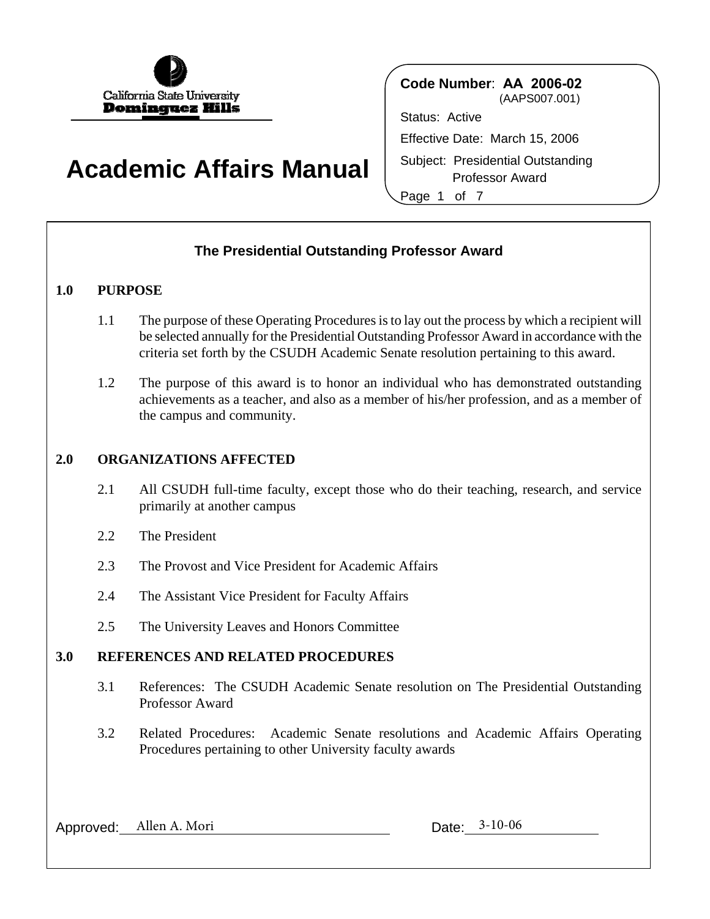

# **Academic Affairs Manual**

 Professor Award **Code Number**: **AA 2006-02** (AAPS007.001) Status: Active Effective Date: March 15, 2006 Subject: Presidential Outstanding Page 1 of 7

# **The Presidential Outstanding Professor Award**

# **1.0 PURPOSE**

- 1.1 The purpose of these Operating Procedures is to lay out the process by which a recipient will be selected annually for the Presidential Outstanding Professor Award in accordance with the criteria set forth by the CSUDH Academic Senate resolution pertaining to this award.
- 1.2 The purpose of this award is to honor an individual who has demonstrated outstanding achievements as a teacher, and also as a member of his/her profession, and as a member of the campus and community.

# **2.0 ORGANIZATIONS AFFECTED**

- 2.1 All CSUDH full-time faculty, except those who do their teaching, research, and service primarily at another campus
- 2.2 The President
- 2.3 The Provost and Vice President for Academic Affairs
- 2.4 The Assistant Vice President for Faculty Affairs
- 2.5 The University Leaves and Honors Committee

## **3.0 REFERENCES AND RELATED PROCEDURES**

- 3.1 References: The CSUDH Academic Senate resolution on The Presidential Outstanding Professor Award
- 3.2 Related Procedures: Academic Senate resolutions and Academic Affairs Operating Procedures pertaining to other University faculty awards

Approved: Allen A. Mori Date: 3-10-06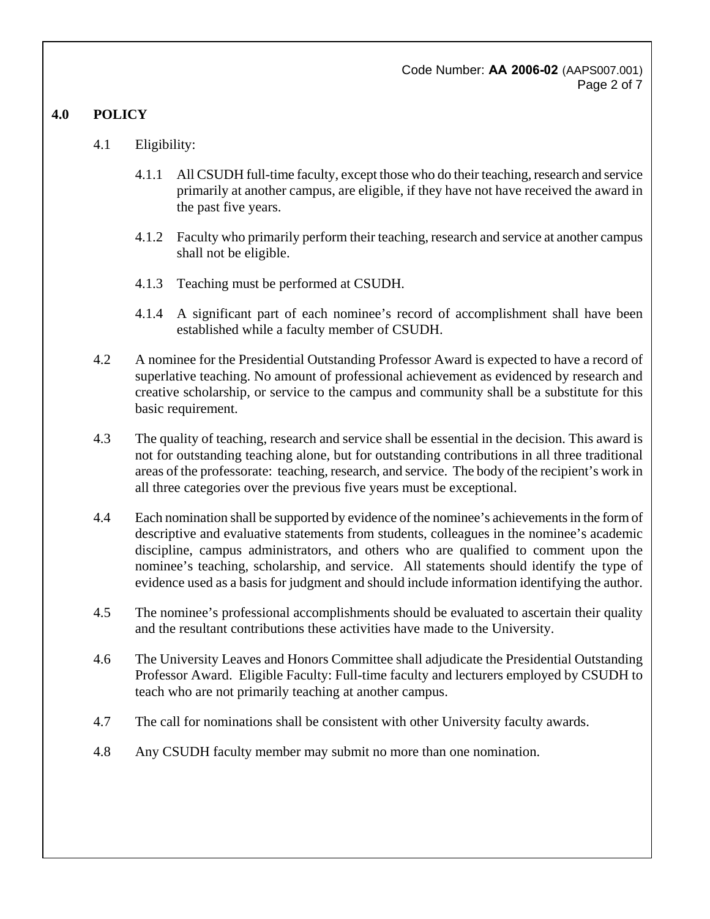Code Number: **AA 2006-02** (AAPS007.001) Page 2 of 7

# **4.0 POLICY**

- 4.1 Eligibility:
	- 4.1.1 All CSUDH full-time faculty, except those who do their teaching, research and service primarily at another campus, are eligible, if they have not have received the award in the past five years.
	- 4.1.2 Faculty who primarily perform their teaching, research and service at another campus shall not be eligible.
	- 4.1.3 Teaching must be performed at CSUDH.
	- 4.1.4 A significant part of each nominee's record of accomplishment shall have been established while a faculty member of CSUDH.
- 4.2 A nominee for the Presidential Outstanding Professor Award is expected to have a record of superlative teaching. No amount of professional achievement as evidenced by research and creative scholarship, or service to the campus and community shall be a substitute for this basic requirement.
- 4.3 The quality of teaching, research and service shall be essential in the decision. This award is not for outstanding teaching alone, but for outstanding contributions in all three traditional areas of the professorate: teaching, research, and service. The body of the recipient's work in all three categories over the previous five years must be exceptional.
- 4.4 Each nomination shall be supported by evidence of the nominee's achievements in the form of descriptive and evaluative statements from students, colleagues in the nominee's academic discipline, campus administrators, and others who are qualified to comment upon the nominee's teaching, scholarship, and service. All statements should identify the type of evidence used as a basis for judgment and should include information identifying the author.
- 4.5 The nominee's professional accomplishments should be evaluated to ascertain their quality and the resultant contributions these activities have made to the University.
- 4.6 The University Leaves and Honors Committee shall adjudicate the Presidential Outstanding Professor Award. Eligible Faculty: Full-time faculty and lecturers employed by CSUDH to teach who are not primarily teaching at another campus.
- 4.7 The call for nominations shall be consistent with other University faculty awards.
- 4.8 Any CSUDH faculty member may submit no more than one nomination.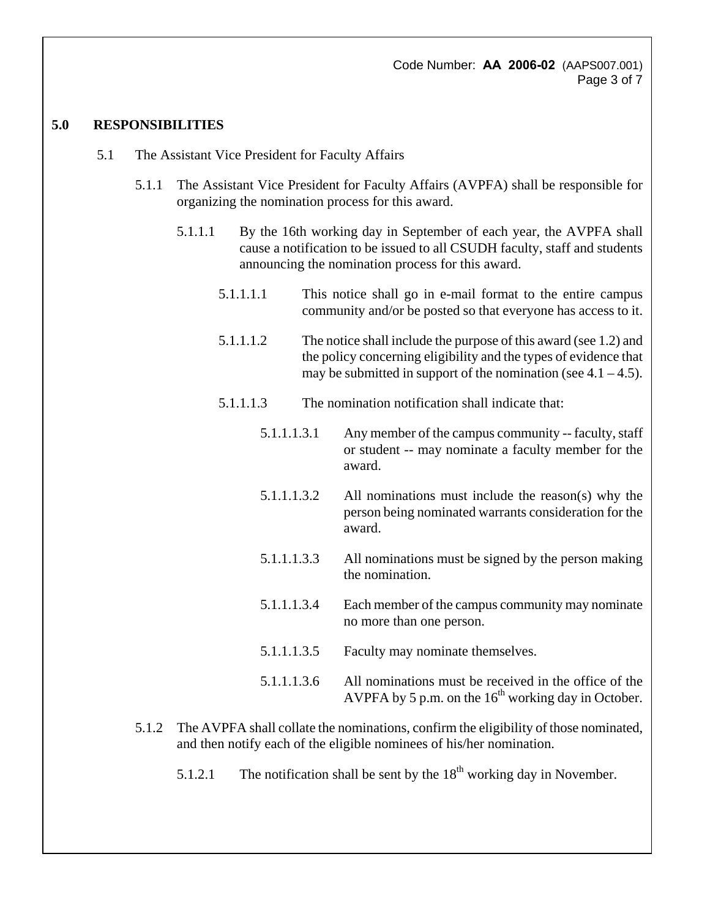Code Number: **AA 2006-02** (AAPS007.001) Page 3 of 7

### **5.0 RESPONSIBILITIES**

- 5.1 The Assistant Vice President for Faculty Affairs
	- 5.1.1 The Assistant Vice President for Faculty Affairs (AVPFA) shall be responsible for organizing the nomination process for this award.
		- 5.1.1.1 By the 16th working day in September of each year, the AVPFA shall cause a notification to be issued to all CSUDH faculty, staff and students announcing the nomination process for this award.
			- 5.1.1.1.1 This notice shall go in e-mail format to the entire campus community and/or be posted so that everyone has access to it.
			- 5.1.1.1.2 The notice shall include the purpose of this award (see 1.2) and the policy concerning eligibility and the types of evidence that may be submitted in support of the nomination (see  $4.1 - 4.5$ ).
			- 5.1.1.1.3 The nomination notification shall indicate that:
				- 5.1.1.1.3.1 Any member of the campus community -- faculty, staff or student -- may nominate a faculty member for the award.
				- 5.1.1.1.3.2 All nominations must include the reason(s) why the person being nominated warrants consideration for the award.
				- 5.1.1.1.3.3 All nominations must be signed by the person making the nomination.
				- 5.1.1.1.3.4 Each member of the campus community may nominate no more than one person.
				- 5.1.1.1.3.5 Faculty may nominate themselves.
				- 5.1.1.1.3.6 All nominations must be received in the office of the AVPFA by 5 p.m. on the  $16<sup>th</sup>$  working day in October.
	- 5.1.2 The AVPFA shall collate the nominations, confirm the eligibility of those nominated, and then notify each of the eligible nominees of his/her nomination.
		- 5.1.2.1 The notification shall be sent by the  $18<sup>th</sup>$  working day in November.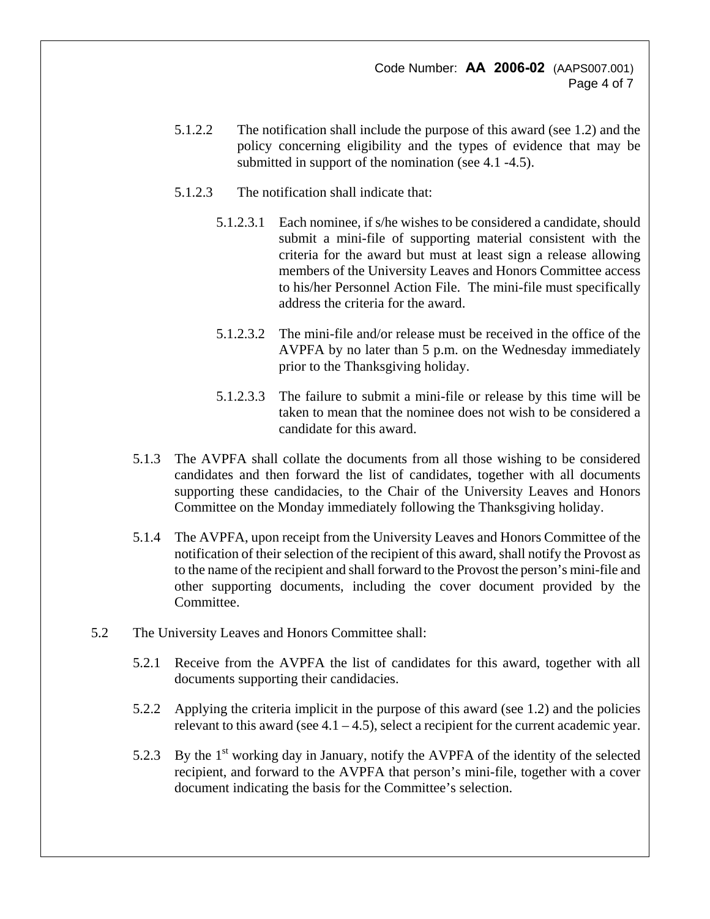- 5.1.2.2 The notification shall include the purpose of this award (see 1.2) and the policy concerning eligibility and the types of evidence that may be submitted in support of the nomination (see 4.1 -4.5).
- 5.1.2.3 The notification shall indicate that:
	- 5.1.2.3.1 Each nominee, if s/he wishes to be considered a candidate, should submit a mini-file of supporting material consistent with the criteria for the award but must at least sign a release allowing members of the University Leaves and Honors Committee access to his/her Personnel Action File. The mini-file must specifically address the criteria for the award.
	- 5.1.2.3.2 The mini-file and/or release must be received in the office of the AVPFA by no later than 5 p.m. on the Wednesday immediately prior to the Thanksgiving holiday.
	- 5.1.2.3.3 The failure to submit a mini-file or release by this time will be taken to mean that the nominee does not wish to be considered a candidate for this award.
- 5.1.3 The AVPFA shall collate the documents from all those wishing to be considered candidates and then forward the list of candidates, together with all documents supporting these candidacies, to the Chair of the University Leaves and Honors Committee on the Monday immediately following the Thanksgiving holiday.
- 5.1.4 The AVPFA, upon receipt from the University Leaves and Honors Committee of the notification of their selection of the recipient of this award, shall notify the Provost as to the name of the recipient and shall forward to the Provost the person's mini-file and other supporting documents, including the cover document provided by the Committee.
- 5.2 The University Leaves and Honors Committee shall:
	- 5.2.1 Receive from the AVPFA the list of candidates for this award, together with all documents supporting their candidacies.
	- 5.2.2 Applying the criteria implicit in the purpose of this award (see 1.2) and the policies relevant to this award (see  $4.1 - 4.5$ ), select a recipient for the current academic year.
	- 5.2.3 By the 1<sup>st</sup> working day in January, notify the AVPFA of the identity of the selected recipient, and forward to the AVPFA that person's mini-file, together with a cover document indicating the basis for the Committee's selection.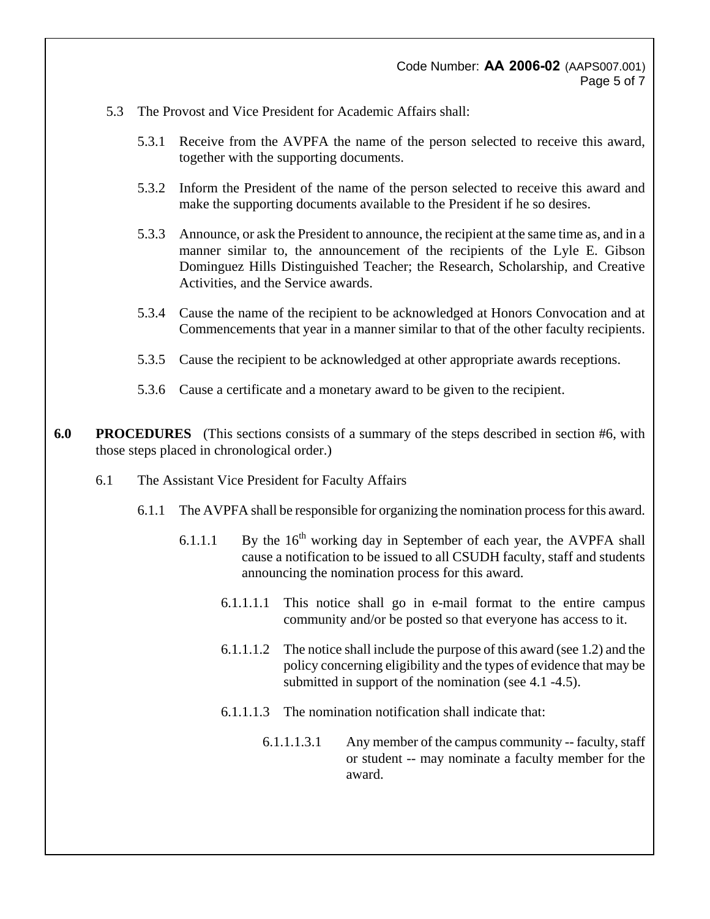### Code Number: **AA 2006-02** (AAPS007.001) Page 5 of 7

- 5.3 The Provost and Vice President for Academic Affairs shall:
	- 5.3.1 Receive from the AVPFA the name of the person selected to receive this award, together with the supporting documents.
	- 5.3.2 Inform the President of the name of the person selected to receive this award and make the supporting documents available to the President if he so desires.
	- 5.3.3 Announce, or ask the President to announce, the recipient at the same time as, and in a manner similar to, the announcement of the recipients of the Lyle E. Gibson Dominguez Hills Distinguished Teacher; the Research, Scholarship, and Creative Activities, and the Service awards.
	- 5.3.4 Cause the name of the recipient to be acknowledged at Honors Convocation and at Commencements that year in a manner similar to that of the other faculty recipients.
	- 5.3.5 Cause the recipient to be acknowledged at other appropriate awards receptions.
	- 5.3.6 Cause a certificate and a monetary award to be given to the recipient.
- **6.0 PROCEDURES** (This sections consists of a summary of the steps described in section #6, with those steps placed in chronological order.)
	- 6.1 The Assistant Vice President for Faculty Affairs
		- 6.1.1 The AVPFA shall be responsible for organizing the nomination process for this award.
			- 6.1.1.1 By the  $16<sup>th</sup>$  working day in September of each year, the AVPFA shall cause a notification to be issued to all CSUDH faculty, staff and students announcing the nomination process for this award.
				- 6.1.1.1.1 This notice shall go in e-mail format to the entire campus community and/or be posted so that everyone has access to it.
				- 6.1.1.1.2 The notice shall include the purpose of this award (see 1.2) and the policy concerning eligibility and the types of evidence that may be submitted in support of the nomination (see 4.1 -4.5).
				- 6.1.1.1.3 The nomination notification shall indicate that:
					- 6.1.1.1.3.1 Any member of the campus community -- faculty, staff or student -- may nominate a faculty member for the award.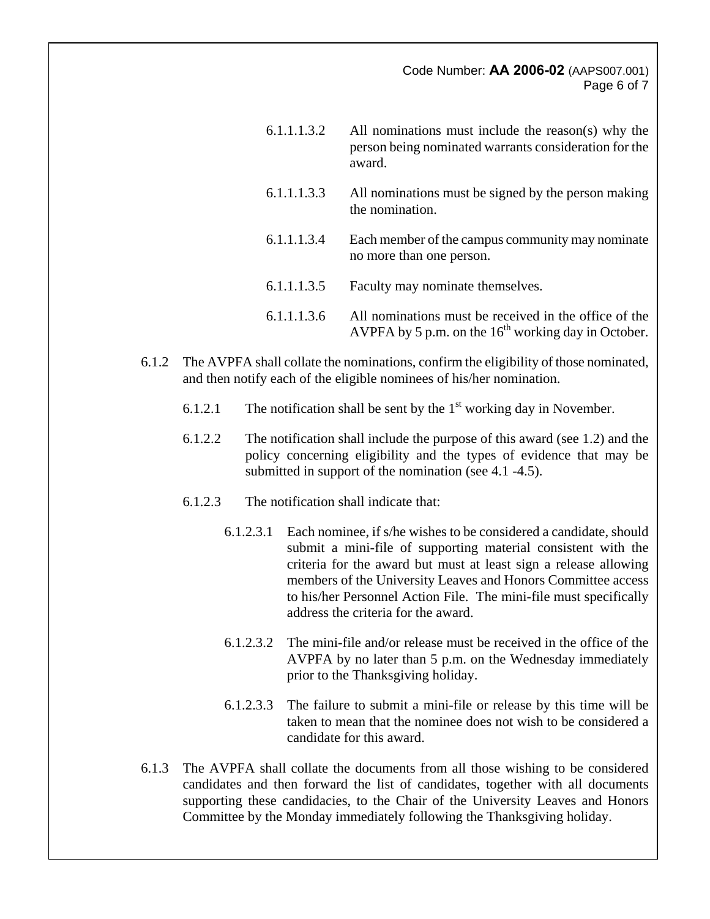### Code Number: **AA 2006-02** (AAPS007.001) Page 6 of 7

| 6.1.1.1.3.2 | All nominations must include the reason(s) why the<br>person being nominated warrants consideration for the<br>award. |
|-------------|-----------------------------------------------------------------------------------------------------------------------|
| 6.1.1.1.3.3 | All nominations must be signed by the person making<br>the nomination.                                                |
| 6.1.1.1.3.4 | Each member of the campus community may nominate<br>no more than one person.                                          |
| 6.1.1.1.3.5 | Faculty may nominate themselves.                                                                                      |
| 6.1.1.1.3.6 | All nominations must be received in the office of the<br>AVPFA by 5 p.m. on the $16th$ working day in October.        |

- 6.1.2 The AVPFA shall collate the nominations, confirm the eligibility of those nominated, and then notify each of the eligible nominees of his/her nomination.
	- 6.1.2.1 The notification shall be sent by the  $1<sup>st</sup>$  working day in November.
	- 6.1.2.2 The notification shall include the purpose of this award (see 1.2) and the policy concerning eligibility and the types of evidence that may be submitted in support of the nomination (see 4.1 -4.5).
	- 6.1.2.3 The notification shall indicate that:
		- 6.1.2.3.1 Each nominee, if s/he wishes to be considered a candidate, should submit a mini-file of supporting material consistent with the criteria for the award but must at least sign a release allowing members of the University Leaves and Honors Committee access to his/her Personnel Action File. The mini-file must specifically address the criteria for the award.
		- 6.1.2.3.2 The mini-file and/or release must be received in the office of the AVPFA by no later than 5 p.m. on the Wednesday immediately prior to the Thanksgiving holiday.
		- 6.1.2.3.3 The failure to submit a mini-file or release by this time will be taken to mean that the nominee does not wish to be considered a candidate for this award.
- 6.1.3 The AVPFA shall collate the documents from all those wishing to be considered candidates and then forward the list of candidates, together with all documents supporting these candidacies, to the Chair of the University Leaves and Honors Committee by the Monday immediately following the Thanksgiving holiday.